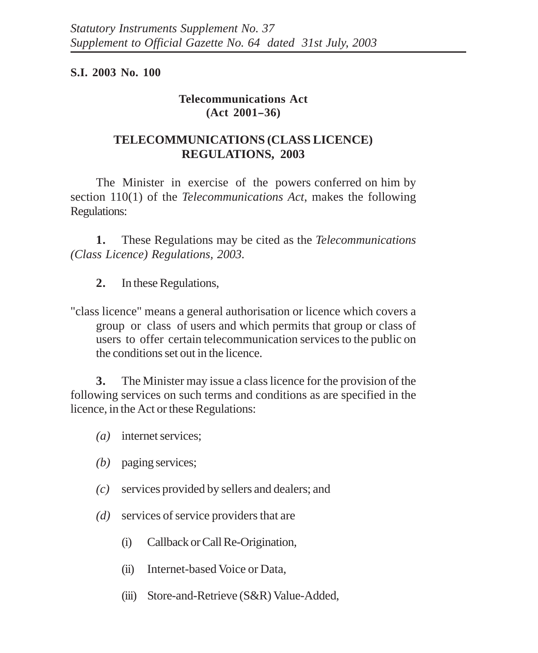## **S.I. 2003 No. 100**

## **Telecommunications Act**  $(Act 2001 - 36)$

## **TELECOMMUNICATIONS (CLASS LICENCE) REGULATIONS, 2003**

The Minister in exercise of the powers conferred on him by section 110(1) of the *Telecommunications Act*, makes the following Regulations:

**1.** These Regulations may be cited as the *Telecommunications (Class Licence) Regulations, 2003.*

**2.** In these Regulations,

"class licence" means a general authorisation or licence which covers a group or class of users and which permits that group or class of users to offer certain telecommunication services to the public on the conditions set out in the licence.

**3.** The Minister may issue a class licence for the provision of the following services on such terms and conditions as are specified in the licence, in the Act or these Regulations:

- *(a)* internet services;
- *(b)* paging services;
- *(c)* services provided by sellers and dealers; and
- *(d)* services of service providers that are
	- (i) Callback or Call Re-Origination,
	- (ii) Internet-based Voice or Data,
	- (iii) Store-and-Retrieve (S&R) Value-Added,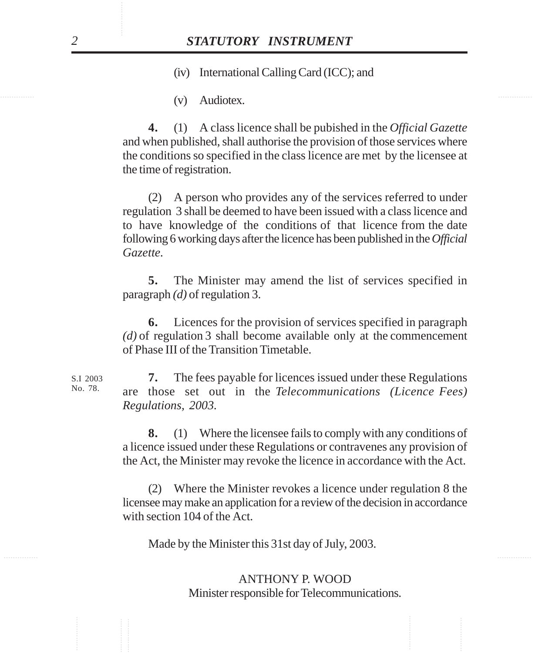(iv) International Calling Card (ICC); and

 $\langle x \rangle$  Audiotor (v) Audiotex.

> **4.** (1) A class licence shall be pubished in the *Official Gazette* and when published, shall authorise the provision of those services where the conditions so specified in the class licence are met by the licensee at the time of registration.

**STATUTORY INSTRUMENT**<br>
(iv) International Calling Card (ICC); and<br>
(v) Audiotex.<br>
4. (1) A class licence shall be pubished in the *Official Gazett*<br>
and when published, shall authories the provision of those services wh (2) A person who provides any of the services referred to under regulation 3 shall be deemed to have been issued with a class licence and to have knowledge of the conditions of that licence from the date following 6 working days after the licence has been published in the *Official Gazette.*

**5.** The Minister may amend the list of services specified in paragraph *(d)* of regulation 3.

**6.** Licences for the provision of services specified in paragraph *(d)* of regulation 3 shall become available only at the commencement of Phase III of the Transition Timetable.

**7.** The fees payable for licences issued under these Regulations are those set out in the *Telecommunications (Licence Fees) Regulations, 2003.*

**8.** (1) Where the licensee fails to comply with any conditions of a licence issued under these Regulations or contravenes any provision of the Act, the Minister may revoke the licence in accordance with the Act.

(2) Where the Minister revokes a licence under regulation 8 the licensee may make an application for a review of the decision in accordance with section 104 of the Act.

Made by the Minister this 31st day of July, 2003.

ANTHONY P. WOOD Minister responsible for Telecommunications.

S.I 2003 No. 78.